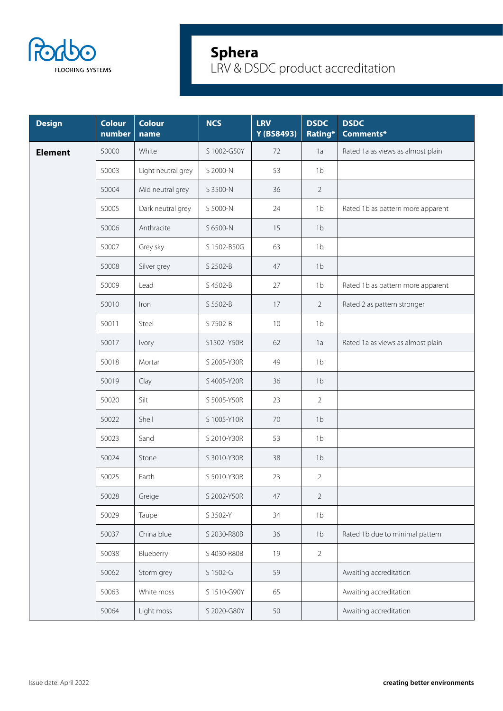

| <b>Design</b>  | <b>Colour</b><br>number | <b>Colour</b><br>name | <b>NCS</b>  | <b>LRV</b><br>Y (BS8493) | <b>DSDC</b><br>Rating* | <b>DSDC</b><br><b>Comments*</b>   |
|----------------|-------------------------|-----------------------|-------------|--------------------------|------------------------|-----------------------------------|
| <b>Element</b> | 50000                   | White                 | S 1002-G50Y | 72                       | 1a                     | Rated 1a as views as almost plain |
|                | 50003                   | Light neutral grey    | S 2000-N    | 53                       | 1 <sub>b</sub>         |                                   |
|                | 50004                   | Mid neutral grey      | S 3500-N    | 36                       | 2                      |                                   |
|                | 50005                   | Dark neutral grey     | S 5000-N    | 24                       | 1 <sub>b</sub>         | Rated 1b as pattern more apparent |
|                | 50006                   | Anthracite            | S 6500-N    | 15                       | 1 <sub>b</sub>         |                                   |
|                | 50007                   | Grey sky              | S 1502-B50G | 63                       | 1 <sub>b</sub>         |                                   |
|                | 50008                   | Silver grey           | S 2502-B    | 47                       | 1 <sub>b</sub>         |                                   |
|                | 50009                   | Lead                  | S 4502-B    | 27                       | 1 <sub>b</sub>         | Rated 1b as pattern more apparent |
|                | 50010                   | Iron                  | S 5502-B    | 17                       | 2                      | Rated 2 as pattern stronger       |
|                | 50011                   | Steel                 | S 7502-B    | 10                       | 1 <sub>b</sub>         |                                   |
|                | 50017                   | Ivory                 | S1502-Y50R  | 62                       | 1a                     | Rated 1a as views as almost plain |
|                | 50018                   | Mortar                | S 2005-Y30R | 49                       | 1 <sub>b</sub>         |                                   |
|                | 50019                   | Clay                  | S 4005-Y20R | 36                       | 1 <sub>b</sub>         |                                   |
|                | 50020                   | Silt                  | S 5005-Y50R | 23                       | $\overline{2}$         |                                   |
|                | 50022                   | Shell                 | S 1005-Y10R | 70                       | 1 <sub>b</sub>         |                                   |
|                | 50023                   | Sand                  | S 2010-Y30R | 53                       | 1 <sub>b</sub>         |                                   |
|                | 50024                   | Stone                 | S 3010-Y30R | 38                       | 1 <sub>b</sub>         |                                   |
|                | 50025                   | Earth                 | S 5010-Y30R | 23                       | 2                      |                                   |
|                | 50028                   | Greige                | S 2002-Y50R | 47                       | 2                      |                                   |
|                | 50029                   | Taupe                 | S 3502-Y    | 34                       | 1 <sub>b</sub>         |                                   |
|                | 50037                   | China blue            | S 2030-R80B | 36                       | 1 <sub>b</sub>         | Rated 1b due to minimal pattern   |
|                | 50038                   | Blueberry             | S 4030-R80B | 19                       | $\overline{2}$         |                                   |
|                | 50062                   | Storm grey            | S 1502-G    | 59                       |                        | Awaiting accreditation            |
|                | 50063                   | White moss            | S 1510-G90Y | 65                       |                        | Awaiting accreditation            |
|                | 50064                   | Light moss            | S 2020-G80Y | 50                       |                        | Awaiting accreditation            |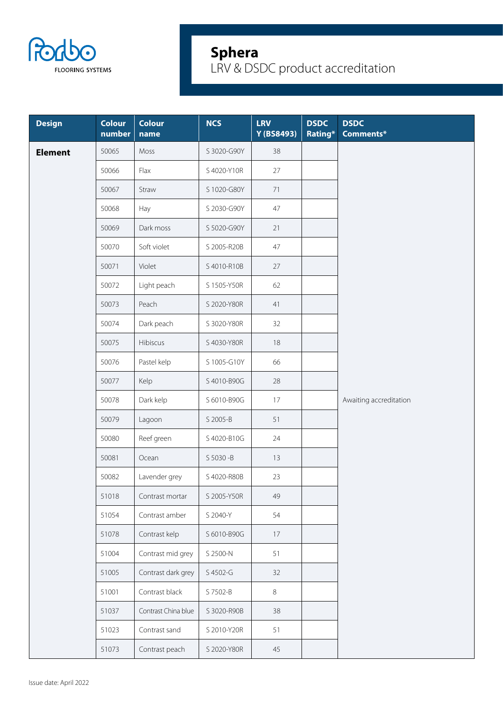

| <b>Design</b>  | <b>Colour</b><br>number | <b>Colour</b><br>name | <b>NCS</b>  | <b>LRV</b><br>Y (BS8493) | <b>DSDC</b><br>Rating* | <b>DSDC</b><br>Comments* |
|----------------|-------------------------|-----------------------|-------------|--------------------------|------------------------|--------------------------|
| <b>Element</b> | 50065                   | Moss                  | S 3020-G90Y | 38                       |                        |                          |
|                | 50066                   | Flax                  | S 4020-Y10R | 27                       |                        |                          |
|                | 50067                   | Straw                 | S 1020-G80Y | 71                       |                        |                          |
|                | 50068                   | Hay                   | S 2030-G90Y | 47                       |                        |                          |
|                | 50069                   | Dark moss             | S 5020-G90Y | 21                       |                        |                          |
|                | 50070                   | Soft violet           | S 2005-R20B | 47                       |                        |                          |
|                | 50071                   | Violet                | S 4010-R10B | 27                       |                        |                          |
|                | 50072                   | Light peach           | S 1505-Y50R | 62                       |                        |                          |
|                | 50073                   | Peach                 | S 2020-Y80R | 41                       |                        |                          |
|                | 50074                   | Dark peach            | S 3020-Y80R | 32                       |                        |                          |
|                | 50075                   | Hibiscus              | S 4030-Y80R | 18                       |                        |                          |
|                | 50076                   | Pastel kelp           | S 1005-G10Y | 66                       |                        |                          |
|                | 50077                   | Kelp                  | S 4010-B90G | 28                       |                        |                          |
|                | 50078                   | Dark kelp             | S 6010-B90G | 17                       |                        | Awaiting accreditation   |
|                | 50079                   | Lagoon                | S 2005-B    | 51                       |                        |                          |
|                | 50080                   | Reef green            | S 4020-B10G | 24                       |                        |                          |
|                | 50081                   | Ocean                 | S 5030 - B  | 13                       |                        |                          |
|                | 50082                   | Lavender grey         | S 4020-R80B | 23                       |                        |                          |
|                | 51018                   | Contrast mortar       | S 2005-Y50R | 49                       |                        |                          |
|                | 51054                   | Contrast amber        | S 2040-Y    | 54                       |                        |                          |
|                | 51078                   | Contrast kelp         | S 6010-B90G | $17 \,$                  |                        |                          |
|                | 51004                   | Contrast mid grey     | S 2500-N    | 51                       |                        |                          |
|                | 51005                   | Contrast dark grey    | S 4502-G    | 32                       |                        |                          |
|                | 51001                   | Contrast black        | S 7502-B    | $\,8\,$                  |                        |                          |
|                | 51037                   | Contrast China blue   | S 3020-R90B | 38                       |                        |                          |
|                | 51023                   | Contrast sand         | S 2010-Y20R | 51                       |                        |                          |
|                | 51073                   | Contrast peach        | S 2020-Y80R | 45                       |                        |                          |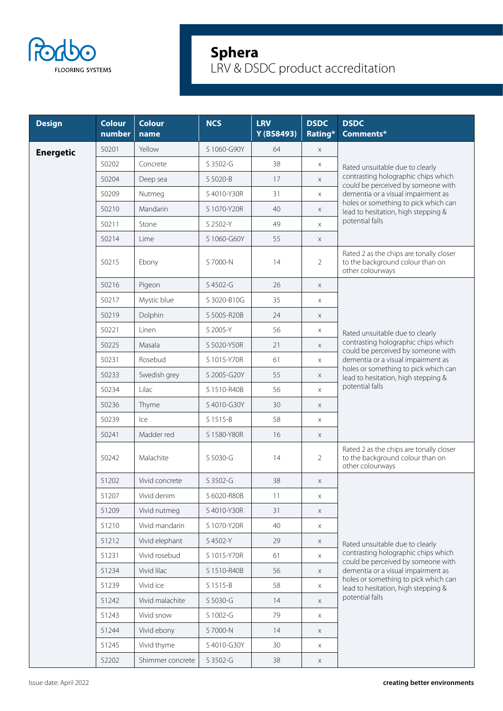

| <b>Design</b>    | <b>Colour</b><br>number | <b>Colour</b><br>name | <b>NCS</b>  | <b>LRV</b><br>Y (BS8493) | <b>DSDC</b><br>Rating* | <b>DSDC</b><br>Comments*                                                                                                                                                                                          |
|------------------|-------------------------|-----------------------|-------------|--------------------------|------------------------|-------------------------------------------------------------------------------------------------------------------------------------------------------------------------------------------------------------------|
| <b>Energetic</b> | 50201                   | Yellow                | S 1060-G90Y | 64                       | $\times$               |                                                                                                                                                                                                                   |
|                  | 50202                   | Concrete              | S 3502-G    | 38                       | X                      | Rated unsuitable due to clearly                                                                                                                                                                                   |
|                  | 50204                   | Deep sea              | S 5020-B    | 17                       | X                      | contrasting holographic chips which<br>could be perceived by someone with<br>dementia or a visual impairment as<br>holes or something to pick which can<br>lead to hesitation, high stepping &<br>potential falls |
|                  | 50209                   | Nutmeg                | S 4010-Y30R | 31                       | $\times$               |                                                                                                                                                                                                                   |
|                  | 50210                   | Mandarin              | S 1070-Y20R | 40                       | X                      |                                                                                                                                                                                                                   |
|                  | 50211                   | Stone                 | S 2502-Y    | 49                       | $\times$               |                                                                                                                                                                                                                   |
|                  | 50214                   | Lime                  | S 1060-G60Y | 55                       | $\times$               |                                                                                                                                                                                                                   |
|                  | 50215                   | Ebony                 | S 7000-N    | 14                       | $\overline{2}$         | Rated 2 as the chips are tonally closer<br>to the background colour than on<br>other colourways                                                                                                                   |
|                  | 50216                   | Pigeon                | S 4502-G    | 26                       | $\times$               |                                                                                                                                                                                                                   |
|                  | 50217                   | Mystic blue           | S 3020-B10G | 35                       | X                      |                                                                                                                                                                                                                   |
|                  | 50219                   | Dolphin               | S 5005-R20B | 24                       | X                      |                                                                                                                                                                                                                   |
|                  | 50221                   | Linen                 | S 2005-Y    | 56                       | X                      | Rated unsuitable due to clearly                                                                                                                                                                                   |
|                  | 50225                   | Masala                | S 5020-Y50R | 21                       | $\times$               | contrasting holographic chips which<br>could be perceived by someone with<br>dementia or a visual impairment as<br>holes or something to pick which can<br>lead to hesitation, high stepping &<br>potential falls |
|                  | 50231                   | Rosebud               | S 1015-Y70R | 61                       | X                      |                                                                                                                                                                                                                   |
|                  | 50233                   | Swedish grey          | S 2005-G20Y | 55                       | X                      |                                                                                                                                                                                                                   |
|                  | 50234                   | Lilac                 | S 1510-R40B | 56                       | $\times$               |                                                                                                                                                                                                                   |
|                  | 50236                   | Thyme                 | S 4010-G30Y | 30                       | X                      |                                                                                                                                                                                                                   |
|                  | 50239                   | Ice                   | S 1515-B    | 58                       | X                      |                                                                                                                                                                                                                   |
|                  | 50241                   | Madder red            | S 1580-Y80R | 16                       | X                      |                                                                                                                                                                                                                   |
|                  | 50242                   | Malachite             | S 5030-G    | 14                       | $\overline{2}$         | Rated 2 as the chips are tonally closer<br>to the background colour than on<br>other colourways                                                                                                                   |
|                  | 51202                   | Vivid concrete        | S 3502-G    | 38                       | X                      |                                                                                                                                                                                                                   |
|                  | 51207                   | Vivid denim           | S 6020-R80B | 11                       | X                      |                                                                                                                                                                                                                   |
|                  | 51209                   | Vivid nutmeg          | S 4010-Y30R | 31                       | $\mathsf X$            |                                                                                                                                                                                                                   |
|                  | 51210                   | Vivid mandarin        | S 1070-Y20R | 40                       | X                      |                                                                                                                                                                                                                   |
|                  | 51212                   | Vivid elephant        | S 4502-Y    | 29                       | $\times$               | Rated unsuitable due to clearly                                                                                                                                                                                   |
|                  | 51231                   | Vivid rosebud         | S 1015-Y70R | 61                       | $\times$               | contrasting holographic chips which<br>could be perceived by someone with                                                                                                                                         |
|                  | 51234                   | Vivid lilac           | S 1510-R40B | 56                       | $\times$               | dementia or a visual impairment as                                                                                                                                                                                |
|                  | 51239                   | Vivid ice             | S 1515-B    | 58                       | X                      | holes or something to pick which can<br>lead to hesitation, high stepping &                                                                                                                                       |
|                  | 51242                   | Vivid malachite       | S 5030-G    | 14                       | X                      | potential falls                                                                                                                                                                                                   |
|                  | 51243                   | Vivid snow            | S 1002-G    | 79                       | X                      |                                                                                                                                                                                                                   |
|                  | 51244                   | Vivid ebony           | S 7000-N    | 14                       | X                      |                                                                                                                                                                                                                   |
|                  | 51245                   | Vivid thyme           | S 4010-G30Y | 30                       | X                      |                                                                                                                                                                                                                   |
|                  | 52202                   | Shimmer concrete      | S 3502-G    | $38\,$                   | $\mathsf X$            |                                                                                                                                                                                                                   |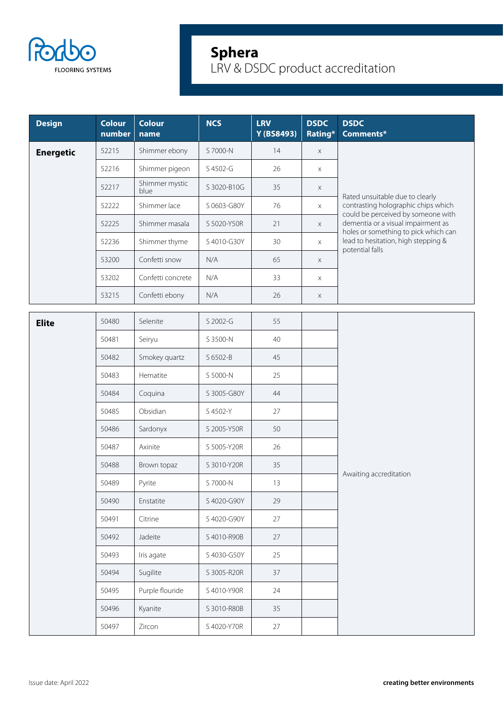

| <b>Design</b>    | <b>Colour</b><br>number | <b>Colour</b><br>name  | <b>NCS</b>  | <b>LRV</b><br>Y (BS8493) | <b>DSDC</b><br>Rating* | <b>DSDC</b><br>Comments*                                                                                                                                                                                                          |
|------------------|-------------------------|------------------------|-------------|--------------------------|------------------------|-----------------------------------------------------------------------------------------------------------------------------------------------------------------------------------------------------------------------------------|
| <b>Energetic</b> | 52215                   | Shimmer ebony          | S 7000-N    | 14                       | $\mathsf X$            |                                                                                                                                                                                                                                   |
|                  | 52216                   | Shimmer pigeon         | S 4502-G    | 26                       | X                      | Rated unsuitable due to clearly<br>contrasting holographic chips which<br>could be perceived by someone with<br>dementia or a visual impairment as<br>holes or something to pick which can<br>lead to hesitation, high stepping & |
|                  | 52217                   | Shimmer mystic<br>blue | S 3020-B10G | 35                       | $\mathsf X$            |                                                                                                                                                                                                                                   |
|                  | 52222                   | Shimmer lace           | S 0603-G80Y | 76                       | X                      |                                                                                                                                                                                                                                   |
|                  | 52225                   | Shimmer masala         | S 5020-Y50R | 21                       | $\times$               |                                                                                                                                                                                                                                   |
|                  | 52236                   | Shimmer thyme          | S 4010-G30Y | 30                       | $\times$               |                                                                                                                                                                                                                                   |
|                  | 53200                   | Confetti snow          | N/A         | 65                       | $\times$               | potential falls                                                                                                                                                                                                                   |
|                  | 53202                   | Confetti concrete      | N/A         | 33                       | X                      |                                                                                                                                                                                                                                   |
|                  | 53215                   | Confetti ebony         | N/A         | 26                       | X                      |                                                                                                                                                                                                                                   |
| <b>Elite</b>     | 50480                   | Selenite               | S 2002-G    | 55                       |                        |                                                                                                                                                                                                                                   |
|                  | 50481                   | Seiryu                 | S 3500-N    | 40                       |                        |                                                                                                                                                                                                                                   |
|                  | 50482                   | Smokey quartz          | S 6502-B    | 45                       |                        |                                                                                                                                                                                                                                   |
|                  | 50483                   | Hematite               | S 5000-N    | 25                       |                        |                                                                                                                                                                                                                                   |
|                  | 50484                   | Coquina                | S 3005-G80Y | 44                       |                        |                                                                                                                                                                                                                                   |
|                  | 50485                   | Obsidian               | S 4502-Y    | 27                       |                        |                                                                                                                                                                                                                                   |
|                  | 50486                   | Sardonyx               | S 2005-Y50R | 50                       |                        |                                                                                                                                                                                                                                   |
|                  | 50487                   | Axinite                | S 5005-Y20R | 26                       |                        |                                                                                                                                                                                                                                   |
|                  | 50488                   | Brown topaz            | S 3010-Y20R | 35                       |                        |                                                                                                                                                                                                                                   |
|                  | 50489                   | Pyrite                 | S 7000-N    | 13                       |                        | Awaiting accreditation                                                                                                                                                                                                            |
|                  | 50490                   | Enstatite              | S 4020-G90Y | 29                       |                        |                                                                                                                                                                                                                                   |
|                  | 50491                   | Citrine                | S 4020-G90Y | 27                       |                        |                                                                                                                                                                                                                                   |
|                  | 50492                   | Jadeite                | S 4010-R90B | 27                       |                        |                                                                                                                                                                                                                                   |
|                  | 50493                   | Iris agate             | S 4030-G50Y | 25                       |                        |                                                                                                                                                                                                                                   |
|                  | 50494                   | Sugilite               | S 3005-R20R | 37                       |                        |                                                                                                                                                                                                                                   |
|                  | 50495                   | Purple flouride        | S 4010-Y90R | 24                       |                        |                                                                                                                                                                                                                                   |
|                  | 50496                   | Kyanite                | S 3010-R80B | 35                       |                        |                                                                                                                                                                                                                                   |
|                  | 50497                   | Zircon                 | S 4020-Y70R | 27                       |                        |                                                                                                                                                                                                                                   |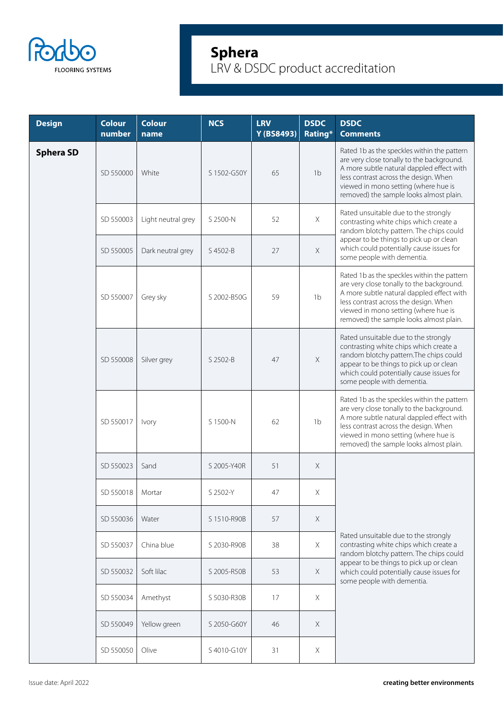

| <b>Design</b>    | <b>Colour</b><br>number | <b>Colour</b><br>name | <b>NCS</b>  | <b>LRV</b><br>Y (BS8493) | <b>DSDC</b><br>Rating* | <b>DSDC</b><br><b>Comments</b>                                                                                                                                                                                                                                    |
|------------------|-------------------------|-----------------------|-------------|--------------------------|------------------------|-------------------------------------------------------------------------------------------------------------------------------------------------------------------------------------------------------------------------------------------------------------------|
| <b>Sphera SD</b> | SD 550000               | White                 | S 1502-G50Y | 65                       | 1 <sub>b</sub>         | Rated 1b as the speckles within the pattern<br>are very close tonally to the background.<br>A more subtle natural dappled effect with<br>less contrast across the design. When<br>viewed in mono setting (where hue is<br>removed) the sample looks almost plain. |
|                  | SD 550003               | Light neutral grey    | S 2500-N    | 52                       | $\mathsf X$            | Rated unsuitable due to the strongly<br>contrasting white chips which create a<br>random blotchy pattern. The chips could<br>appear to be things to pick up or clean<br>which could potentially cause issues for<br>some people with dementia.                    |
|                  | SD 550005               | Dark neutral grey     | S 4502-B    | 27                       | $\mathsf X$            |                                                                                                                                                                                                                                                                   |
|                  | SD 550007               | Grey sky              | S 2002-B50G | 59                       | 1 <sub>b</sub>         | Rated 1b as the speckles within the pattern<br>are very close tonally to the background.<br>A more subtle natural dappled effect with<br>less contrast across the design. When<br>viewed in mono setting (where hue is<br>removed) the sample looks almost plain. |
|                  | SD 550008               | Silver grey           | S 2502-B    | 47                       | $\mathsf X$            | Rated unsuitable due to the strongly<br>contrasting white chips which create a<br>random blotchy pattern. The chips could<br>appear to be things to pick up or clean<br>which could potentially cause issues for<br>some people with dementia.                    |
|                  | SD 550017               | Ivory                 | S 1500-N    | 62                       | 1 <sub>b</sub>         | Rated 1b as the speckles within the pattern<br>are very close tonally to the background.<br>A more subtle natural dappled effect with<br>less contrast across the design. When<br>viewed in mono setting (where hue is<br>removed) the sample looks almost plain. |
|                  | SD 550023               | Sand                  | S 2005-Y40R | 51                       | $\mathsf X$            |                                                                                                                                                                                                                                                                   |
|                  | SD 550018               | Mortar                | S 2502-Y    | 47                       | Χ                      |                                                                                                                                                                                                                                                                   |
|                  | SD 550036               | Water                 | S 1510-R90B | 57                       | $\times$               |                                                                                                                                                                                                                                                                   |
|                  | SD 550037               | China blue            | S 2030-R90B | 38                       | $\times$               | Rated unsuitable due to the strongly<br>contrasting white chips which create a<br>random blotchy pattern. The chips could                                                                                                                                         |
|                  | SD 550032               | Soft lilac            | S 2005-R50B | 53                       | $\times$               | appear to be things to pick up or clean<br>which could potentially cause issues for<br>some people with dementia.                                                                                                                                                 |
|                  | SD 550034               | Amethyst              | S 5030-R30B | 17                       | $\times$               |                                                                                                                                                                                                                                                                   |
|                  | SD 550049               | Yellow green          | S 2050-G60Y | 46                       | $\times$               |                                                                                                                                                                                                                                                                   |
|                  | SD 550050               | Olive                 | S4010-G10Y  | 31                       | Χ                      |                                                                                                                                                                                                                                                                   |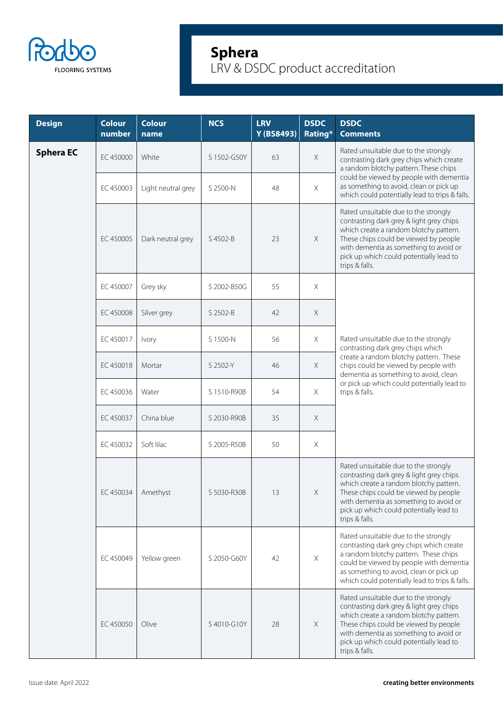

| <b>Design</b>    | <b>Colour</b><br>number | <b>Colour</b><br>name | <b>NCS</b>  | <b>LRV</b><br>Y (BS8493) | <b>DSDC</b><br>Rating* | <b>DSDC</b><br><b>Comments</b>                                                                                                                                                                                                                                             |
|------------------|-------------------------|-----------------------|-------------|--------------------------|------------------------|----------------------------------------------------------------------------------------------------------------------------------------------------------------------------------------------------------------------------------------------------------------------------|
| <b>Sphera EC</b> | EC 450000               | White                 | S 1502-G50Y | 63                       | Χ                      | Rated unsuitable due to the strongly<br>contrasting dark grey chips which create<br>a random blotchy pattern. These chips                                                                                                                                                  |
|                  | EC 450003               | Light neutral grey    | S 2500-N    | 48                       | Χ                      | could be viewed by people with dementia<br>as something to avoid, clean or pick up<br>which could potentially lead to trips & falls.                                                                                                                                       |
|                  | EC 450005               | Dark neutral grey     | S 4502-B    | 23                       | X                      | Rated unsuitable due to the strongly<br>contrasting dark grey & light grey chips<br>which create a random blotchy pattern.<br>These chips could be viewed by people<br>with dementia as something to avoid or<br>pick up which could potentially lead to<br>trips & falls. |
|                  | EC 450007               | Grey sky              | S 2002-B50G | 55                       | Χ                      |                                                                                                                                                                                                                                                                            |
|                  | EC 450008               | Silver grey           | S 2502-B    | 42                       | $\times$               |                                                                                                                                                                                                                                                                            |
|                  | EC 450017               | Ivory                 | S 1500-N    | 56                       | Χ                      | Rated unsuitable due to the strongly<br>contrasting dark grey chips which                                                                                                                                                                                                  |
|                  | EC 450018               | Mortar                | S 2502-Y    | 46                       | $\times$               | create a random blotchy pattern. These<br>chips could be viewed by people with<br>dementia as something to avoid, clean<br>or pick up which could potentially lead to<br>trips & falls.                                                                                    |
|                  | EC 450036               | Water                 | S 1510-R90B | 54                       | Χ                      |                                                                                                                                                                                                                                                                            |
|                  | EC 450037               | China blue            | S 2030-R90B | 35                       | X                      |                                                                                                                                                                                                                                                                            |
|                  | EC 450032               | Soft lilac            | S 2005-R50B | 50                       | $\times$               |                                                                                                                                                                                                                                                                            |
|                  | EC 450034   Amethyst    |                       | S 5030-R30B | 13                       | X                      | Rated unsuitable due to the strongly<br>contrasting dark grey & light grey chips<br>which create a random blotchy pattern.<br>These chips could be viewed by people<br>with dementia as something to avoid or<br>pick up which could potentially lead to<br>trips & falls. |
|                  | EC 450049               | Yellow green          | S 2050-G60Y | 42                       | Χ                      | Rated unsuitable due to the strongly<br>contrasting dark grey chips which create<br>a random blotchy pattern. These chips<br>could be viewed by people with dementia<br>as something to avoid, clean or pick up<br>which could potentially lead to trips & falls.          |
|                  | EC 450050               | Olive                 | S4010-G10Y  | 28                       | Χ                      | Rated unsuitable due to the strongly<br>contrasting dark grey & light grey chips<br>which create a random blotchy pattern.<br>These chips could be viewed by people<br>with dementia as something to avoid or<br>pick up which could potentially lead to<br>trips & falls. |